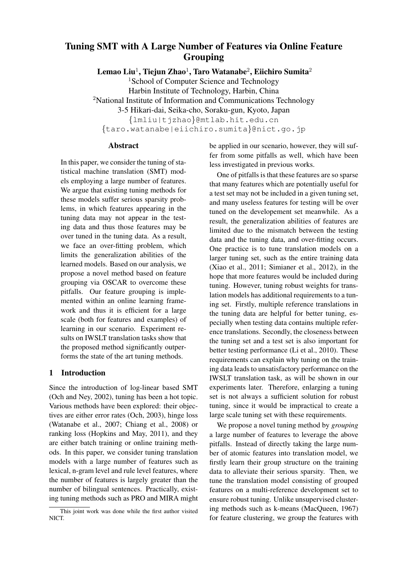# Tuning SMT with A Large Number of Features via Online Feature Grouping

Lemao Liu $^1$ , Tiejun Zhao $^1$ , Taro Watanabe $^2$ , Eiichiro Sumita $^2$ 

<sup>1</sup>School of Computer Science and Technology Harbin Institute of Technology, Harbin, China <sup>2</sup>National Institute of Information and Communications Technology 3-5 Hikari-dai, Seika-cho, Soraku-gun, Kyoto, Japan {lmliu|tjzhao}@mtlab.hit.edu.cn {taro.watanabe|eiichiro.sumita}@nict.go.jp

Abstract

In this paper, we consider the tuning of statistical machine translation (SMT) models employing a large number of features. We argue that existing tuning methods for these models suffer serious sparsity problems, in which features appearing in the tuning data may not appear in the testing data and thus those features may be over tuned in the tuning data. As a result, we face an over-fitting problem, which limits the generalization abilities of the learned models. Based on our analysis, we propose a novel method based on feature grouping via OSCAR to overcome these pitfalls. Our feature grouping is implemented within an online learning framework and thus it is efficient for a large scale (both for features and examples) of learning in our scenario. Experiment results on IWSLT translation tasks show that the proposed method significantly outperforms the state of the art tuning methods.

## 1 Introduction

Since the introduction of log-linear based SMT (Och and Ney, 2002), tuning has been a hot topic. Various methods have been explored: their objectives are either error rates (Och, 2003), hinge loss (Watanabe et al., 2007; Chiang et al., 2008) or ranking loss (Hopkins and May, 2011), and they are either batch training or online training methods. In this paper, we consider tuning translation models with a large number of features such as lexical, n-gram level and rule level features, where the number of features is largely greater than the number of bilingual sentences. Practically, existing tuning methods such as PRO and MIRA might be applied in our scenario, however, they will suffer from some pitfalls as well, which have been less investigated in previous works.

One of pitfalls is that these features are so sparse that many features which are potentially useful for a test set may not be included in a given tuning set, and many useless features for testing will be over tuned on the developement set meanwhile. As a result, the generalization abilities of features are limited due to the mismatch between the testing data and the tuning data, and over-fitting occurs. One practice is to tune translation models on a larger tuning set, such as the entire training data (Xiao et al., 2011; Simianer et al., 2012), in the hope that more features would be included during tuning. However, tuning robust weights for translation models has additional requirements to a tuning set. Firstly, multiple reference translations in the tuning data are helpful for better tuning, especially when testing data contains multiple reference translations. Secondly, the closeness between the tuning set and a test set is also important for better testing performance (Li et al., 2010). These requirements can explain why tuning on the training data leads to unsatisfactory performance on the IWSLT translation task, as will be shown in our experiments later. Therefore, enlarging a tuning set is not always a sufficient solution for robust tuning, since it would be impractical to create a large scale tuning set with these requirements.

We propose a novel tuning method by *grouping* a large number of features to leverage the above pitfalls. Instead of directly taking the large number of atomic features into translation model, we firstly learn their group structure on the training data to alleviate their serious sparsity. Then, we tune the translation model consisting of grouped features on a multi-reference development set to ensure robust tuning. Unlike unsupervised clustering methods such as k-means (MacQueen, 1967) for feature clustering, we group the features with

This joint work was done while the first author visited NICT.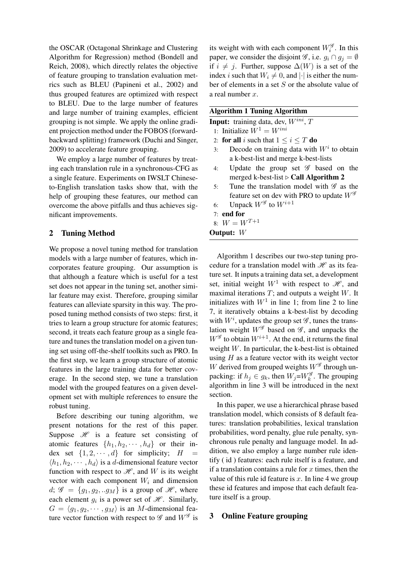the OSCAR (Octagonal Shrinkage and Clustering Algorithm for Regression) method (Bondell and Reich, 2008), which directly relates the objective of feature grouping to translation evaluation metrics such as BLEU (Papineni et al., 2002) and thus grouped features are optimized with respect to BLEU. Due to the large number of features and large number of training examples, efficient grouping is not simple. We apply the online gradient projection method under the FOBOS (forwardbackward splitting) framework (Duchi and Singer, 2009) to accelerate feature grouping.

We employ a large number of features by treating each translation rule in a synchronous-CFG as a single feature. Experiments on IWSLT Chineseto-English translation tasks show that, with the help of grouping these features, our method can overcome the above pitfalls and thus achieves significant improvements.

#### 2 Tuning Method

We propose a novel tuning method for translation models with a large number of features, which incorporates feature grouping. Our assumption is that although a feature which is useful for a test set does not appear in the tuning set, another similar feature may exist. Therefore, grouping similar features can alleviate sparsity in this way. The proposed tuning method consists of two steps: first, it tries to learn a group structure for atomic features; second, it treats each feature group as a single feature and tunes the translation model on a given tuning set using off-the-shelf toolkits such as PRO. In the first step, we learn a group structure of atomic features in the large training data for better coverage. In the second step, we tune a translation model with the grouped features on a given development set with multiple references to ensure the robust tuning.

Before describing our tuning algorithm, we present notations for the rest of this paper. Suppose  $\mathcal H$  is a feature set consisting of atomic features  $\{h_1, h_2, \cdots, h_d\}$  or their index set  $\{1, 2, \dots, d\}$  for simplicity;  $H =$  $\langle h_1, h_2, \cdots, h_d \rangle$  is a d-dimensional feature vector function with respect to  $\mathcal{H}$ , and W is its weight vector with each component  $W_i$  and dimension  $d; \mathcal{G} = \{g_1, g_2, \ldots, g_M\}$  is a group of  $\mathcal{H}$ , where each element  $g_i$  is a power set of  $\mathcal H$ . Similarly,  $G = \langle g_1, g_2, \cdots, g_M \rangle$  is an M-dimensional feature vector function with respect to  $\mathscr G$  and  $W^{\mathscr G}$  is

its weight with with each component  $W_i^{\mathscr{G}}$ . In this paper, we consider the disjoint  $\mathscr{G}$ , i.e.  $g_i \cap g_j = \emptyset$ if  $i \neq j$ . Further, suppose  $\Delta(W)$  is a set of the index i such that  $W_i \neq 0$ , and  $|\cdot|$  is either the number of elements in a set S or the absolute value of a real number  $x$ .

| <b>Algorithm 1 Tuning Algorithm</b>               |  |
|---------------------------------------------------|--|
| <b>Input:</b> training data, dev, $W^{ini}$ , $T$ |  |

- 1: Initialize  $W^1 = W^{ini}$
- 2: for all i such that  $1 \le i \le T$  do
- 3: Decode on training data with  $W<sup>i</sup>$  to obtain a k-best-list and merge k-best-lists
- 4: Update the group set  $\mathscr G$  based on the merged k-best-list  $\triangleright$  Call Algorithm 2
- 5: Tune the translation model with  $\mathscr G$  as the feature set on dev with PRO to update  $W^{\mathscr{G}}$
- 6: Unpack  $W^{\mathscr{G}}$  to  $W^{i+1}$
- 7: end for 8:  $W = W^{T+1}$
- 

Output: W

Algorithm 1 describes our two-step tuning procedure for a translation model with  $\mathcal{H}$  as its feature set. It inputs a training data set, a development set, initial weight  $W^1$  with respect to  $\mathcal{H}$ , and maximal iterations  $T$ ; and outputs a weight  $W$ . It initializes with  $W<sup>1</sup>$  in line 1; from line 2 to line 7, it iteratively obtains a k-best-list by decoding with  $W^i$ , updates the group set  $\mathscr G$ , tunes the translation weight  $W^{\mathscr{G}}$  based on  $\mathscr{G}$ , and unpacks the  $W^{\mathscr{G}}$  to obtain  $W^{i+1}$ . At the end, it returns the final weight  $W$ . In particular, the k-best-list is obtained using  $H$  as a feature vector with its weight vector W derived from grouped weights  $W^{\mathscr{G}}$  through unpacking: if  $h_j \in g_k$ , then  $W_j = W_k^{\mathscr{G}}$ . The grouping algorithm in line 3 will be introduced in the next section.

In this paper, we use a hierarchical phrase based translation model, which consists of 8 default features: translation probabilities, lexical translation probabilities, word penalty, glue rule penalty, synchronous rule penalty and language model. In addition, we also employ a large number rule identify ( id ) features: each rule itself is a feature, and if a translation contains a rule for  $x$  times, then the value of this rule id feature is x. In line 4 we group these id features and impose that each default feature itself is a group.

#### 3 Online Feature grouping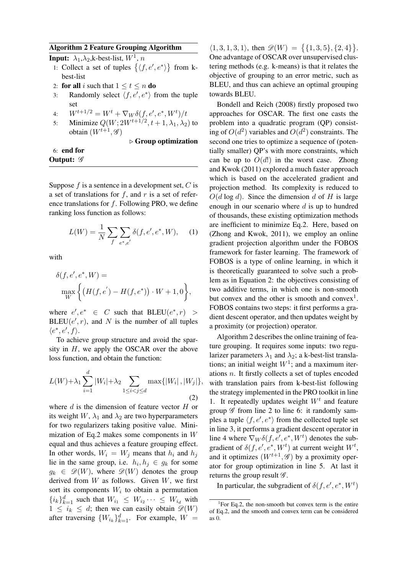## Algorithm 2 Feature Grouping Algorithm

**Input:**  $\lambda_1, \lambda_2$ , k-best-list,  $W^1$ , n

- 1: Collect a set of tuples  $\{\langle f, e', e^* \rangle\}$  from kbest-list
- 2: for all i such that  $1 \le t \le n$  do
- 3: Randomly select  $\langle f, e', e^* \rangle$  from the tuple set
- 4:  $W^{t+1/2} = W^t + \nabla_W \delta(f, e', e^*, W^t)/t$
- 5: Minimize  $Q(W; 2W^{t+1/2}, t+1, \lambda_1, \lambda_2)$  to obtain  $(W^{t+1}, \mathscr{G})$

 $\triangleright$  Group optimization

6: end for Output:  $\mathscr G$ 

Suppose  $f$  is a sentence in a development set,  $C$  is a set of translations for  $f$ , and  $r$  is a set of reference translations for  $f$ . Following PRO, we define ranking loss function as follows:

$$
L(W) = \frac{1}{N} \sum_{f} \sum_{e^*, e'} \delta(f, e', e^*, W), \quad (1)
$$

with

$$
\delta(f, e', e^*, W) = \max_{W} \left\{ \left( H(f, e') - H(f, e^*) \right) \cdot W + 1, 0 \right\},\
$$

where  $e', e^* \in C$  such that  $BLEU(e^*, r)$  >  $BLEU(e', r)$ , and N is the number of all tuples  $\langle e^*, e', f \rangle.$ 

To achieve group structure and avoid the sparsity in  $H$ , we apply the OSCAR over the above loss function, and obtain the function:

$$
L(W) + \lambda_1 \sum_{i=1}^{d} |W_i| + \lambda_2 \sum_{1 \le i < j \le d} \max\{|W_i|, |W_j|\},\tag{2}
$$

where  $d$  is the dimension of feature vector  $H$  or its weight W,  $\lambda_1$  and  $\lambda_2$  are two hyperparameters for two regularizers taking positive value. Minimization of Eq.2 makes some components in W equal and thus achieves a feature grouping effect. In other words,  $W_i = W_j$  means that  $h_i$  and  $h_j$ lie in the same group, i.e.  $h_i, h_j \in g_k$  for some  $g_k \in \mathscr{D}(W)$ , where  $\mathscr{D}(W)$  denotes the group derived from  $W$  as follows. Given  $W$ , we first sort its components  $W_i$  to obtain a permutation  $\{i_k\}_{k=1}^d$  such that  $W_{i_1} \leq W_{i_2} \cdots \leq W_{i_d}$  with  $1 \leq i_k \leq d$ ; then we can easily obtain  $\mathscr{D}(W)$ after traversing  $\{W_{i_k}\}_{k=1}^d$ . For example,  $W =$ 

 $\langle 1, 3, 1, 3, 1 \rangle$ , then  $\mathscr{D}(W) = \{ \{1, 3, 5\}, \{2, 4\} \}.$ One advantage of OSCAR over unsupervised clustering methods (e.g. k-means) is that it relates the objective of grouping to an error metric, such as BLEU, and thus can achieve an optimal grouping towards BLEU.

Bondell and Reich (2008) firstly proposed two approaches for OSCAR. The first one casts the problem into a quadratic program (QP) consisting of  $O(d^2)$  variables and  $O(d^2)$  constraints. The second one tries to optimize a sequence of (potentially smaller) QP's with more constraints, which can be up to  $O(d!)$  in the worst case. Zhong and Kwok (2011) explored a much faster approach which is based on the accelerated gradient and projection method. Its complexity is reduced to  $O(d \log d)$ . Since the dimension d of H is large enough in our scenario where  $d$  is up to hundred of thousands, these existing optimization methods are inefficient to minimize Eq.2. Here, based on (Zhong and Kwok, 2011), we employ an online gradient projection algorithm under the FOBOS framework for faster learning. The framework of FOBOS is a type of online learning, in which it is theoretically guaranteed to solve such a problem as in Equation 2: the objectives consisting of two additive terms, in which one is non-smooth but convex and the other is smooth and convex<sup>1</sup>. FOBOS contains two steps: it first performs a gradient descent operator, and then updates weight by a proximity (or projection) operator.

Algorithm 2 describes the online training of feature grouping. It requires some inputs: two regularizer parameters  $\lambda_1$  and  $\lambda_2$ ; a k-best-list translations; an initial weight  $W<sup>1</sup>$ ; and a maximum iterations n. It firstly collects a set of tuples encoded with translation pairs from k-best-list following the strategy implemented in the PRO toolkit in line 1. It repeatedly updates weight  $W<sup>t</sup>$  and feature group  $\mathscr G$  from line 2 to line 6: it randomly samples a tuple  $\langle f, e', e^* \rangle$  from the collected tuple set in line 3, it performs a gradient descent operator in line 4 where  $\nabla_W \delta(f, e', e^*, W^t)$  denotes the subgradient of  $\delta(f, e', e^*, W^t)$  at current weight  $W^t$ , and it optimizes  $(W^{t+1}, \mathscr{G})$  by a proximity operator for group optimization in line 5. At last it returns the group result  $\mathscr{G}$ .

In particular, the subgradient of  $\delta(f, e', e^*, W^t)$ 

<sup>&</sup>lt;sup>1</sup>For Eq.2, the non-smooth but convex term is the entire of Eq.2, and the smooth and convex term can be considered as 0.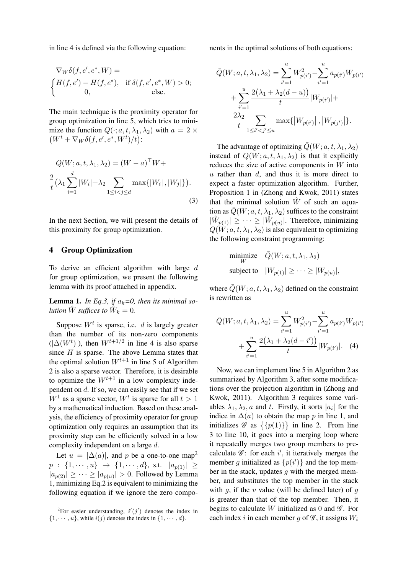in line 4 is defined via the following equation:

$$
\nabla_W \delta(f, e', e^*, W) =
$$
\n
$$
\begin{cases}\nH(f, e') - H(f, e^*), & \text{if } \delta(f, e', e^*, W) > 0; \\
0, & \text{else.} \n\end{cases}
$$

The main technique is the proximity operator for group optimization in line 5, which tries to minimize the function  $Q(\cdot; a, t, \lambda_1, \lambda_2)$  with  $a = 2 \times$  $(W^t + \nabla_W \delta(f, e', e^*, W^t)/t):$ 

$$
Q(W; a, t, \lambda_1, \lambda_2) = (W - a)^{\top} W +
$$

$$
\frac{2}{t} (\lambda_1 \sum_{i=1}^d |W_i| + \lambda_2 \sum_{1 \le i < j \le d} \max\{|W_i|, |W_j|\}).
$$
\n
$$
(3)
$$

In the next Section, we will present the details of this proximity for group optimization.

## 4 Group Optimization

To derive an efficient algorithm with large  $d$ for group optimization, we present the following lemma with its proof attached in appendix.

**Lemma 1.** In Eq.3, if  $a_k=0$ , then its minimal so*lution*  $\hat{W}$  *suffices to*  $\hat{W}_k = 0$ *.* 

Suppose  $W<sup>t</sup>$  is sparse, i.e. d is largely greater than the number of its non-zero components  $(|\Delta(W^t)|)$ , then  $W^{t+1/2}$  in line 4 is also sparse since  $H$  is sparse. The above Lemma states that the optimal solution  $W^{t+1}$  in line 5 of Algorithm 2 is also a sparse vector. Therefore, it is desirable to optimize the  $W^{t+1}$  in a low complexity independent on d. If so, we can easily see that if we set  $W^1$  as a sparse vector,  $W^t$  is sparse for all  $t > 1$ by a mathematical induction. Based on these analysis, the efficiency of proximity operator for group optimization only requires an assumption that its proximity step can be efficiently solved in a low complexity independent on a large d.

Let  $u = |\Delta(a)|$ , and p be a one-to-one map<sup>2</sup>  $p : \{1, \dots, u\} \rightarrow \{1, \dots, d\}, \text{ s.t. } |a_{p(1)}| \geq$  $|a_{p(2)}| \geq \cdots \geq |a_{p(u)}| > 0$ . Followed by Lemma 1, minimizing Eq.2 is equivalent to minimizing the following equation if we ignore the zero components in the optimal solutions of both equations:

$$
\bar{Q}(W; a, t, \lambda_1, \lambda_2) = \sum_{i'=1}^{u} W_{p(i')}^2 - \sum_{i'=1}^{u} a_{p(i')} W_{p(i')}
$$

$$
+ \sum_{i'=1}^{u} \frac{2(\lambda_1 + \lambda_2(d-u))}{t} |W_{p(i')}| + \frac{2\lambda_2}{t} \sum_{1 \le i' < j' \le u} \max\{|W_{p(i')}|, |W_{p(j')}|\}.
$$

The advantage of optimizing  $\overline{Q}(W; a, t, \lambda_1, \lambda_2)$ instead of  $Q(W; a, t, \lambda_1, \lambda_2)$  is that it explicitly reduces the size of active components in  $W$  into  $u$  rather than  $d$ , and thus it is more direct to expect a faster optimization algorithm. Further, Proposition 1 in (Zhong and Kwok, 2011) states that the minimal solution  $W$  of such an equation as  $\overline{Q}(W; a, t, \lambda_1, \lambda_2)$  suffices to the constraint  $|\hat{W}_{p(1)}| \geq \cdots \geq |\hat{W}_{p(u)}|$ . Therefore, minimizing  $Q(W; a, t, \lambda_1, \lambda_2)$  is also equivalent to optimizing the following constraint programming:

$$
\begin{aligned}\n\text{minimize} & \quad \bar{Q}(W; a, t, \lambda_1, \lambda_2) \\
\text{subject to} & \quad |W_{p(1)}| \geq \cdots \geq |W_{p(u)}|,\n\end{aligned}
$$

where  $\overline{Q}(W; a, t, \lambda_1, \lambda_2)$  defined on the constraint is rewritten as

$$
\bar{Q}(W; a, t, \lambda_1, \lambda_2) = \sum_{i'=1}^{u} W_{p(i')}^2 - \sum_{i'=1}^{u} a_{p(i')} W_{p(i')}
$$

$$
+ \sum_{i'=1}^{u} \frac{2(\lambda_1 + \lambda_2(d - i'))}{t} |W_{p(i')}|.
$$
 (4)

Now, we can implement line 5 in Algorithm 2 as summarized by Algorithm 3, after some modifications over the projection algorithm in (Zhong and Kwok, 2011). Algorithm 3 requires some variables  $\lambda_1, \lambda_2, a$  and t. Firstly, it sorts  $|a_i|$  for the indice in  $\Delta(a)$  to obtain the map p in line 1, and initializes  $\mathscr G$  as  $\{\{p(1)\}\}\$  in line 2. From line 3 to line 10, it goes into a merging loop where it repeatedly merges two group members to precalculate  $\mathscr{G}$ : for each  $i'$ , it iteratively merges the member g initialized as  $\{p(i')\}$  and the top member in the stack, updates  $g$  with the merged member, and substitutes the top member in the stack with  $q$ , if the v value (will be defined later) of  $q$ is greater than that of the top member. Then, it begins to calculate W initialized as 0 and  $\mathscr G$ . For each index i in each member g of  $\mathscr G$ , it assigns  $W_i$ 

<sup>&</sup>lt;sup>2</sup>For easier understanding,  $i'(j')$  denotes the index in  $\{1, \dots, u\}$ , while  $i(j)$  denotes the index in  $\{1, \dots, d\}$ .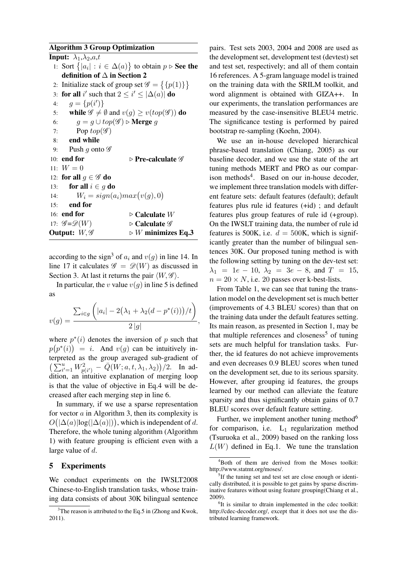#### Algorithm 3 Group Optimization

|                          | Input: $\lambda_1, \lambda_2, a, t$                                          |                                                                             |  |  |
|--------------------------|------------------------------------------------------------------------------|-----------------------------------------------------------------------------|--|--|
|                          |                                                                              | 1: Sort $\{ a_i  : i \in \Delta(a)\}\$ to obtain $p \triangleright$ See the |  |  |
|                          | definition of $\Delta$ in Section 2                                          |                                                                             |  |  |
|                          | 2: Initialize stack of group set $\mathscr{G} = \{ \{p(1)\} \}$              |                                                                             |  |  |
|                          | 3: for all i' such that $2 \le i' \le  \Delta(a) $ do                        |                                                                             |  |  |
| 4:                       | $q = \{p(i')\}$                                                              |                                                                             |  |  |
|                          | 5: while $\mathscr{G} \neq \emptyset$ and $v(g) \geq v(top(\mathscr{G}))$ do |                                                                             |  |  |
|                          | $g = g \cup top(\mathscr{G}) \triangleright$ <b>Merge</b> $g$<br>6:          |                                                                             |  |  |
|                          | Pop $top(\mathscr{G})$<br>7:                                                 |                                                                             |  |  |
|                          | 8: end while                                                                 |                                                                             |  |  |
|                          | Push g onto $\mathscr G$<br>9:                                               |                                                                             |  |  |
|                          | $10:$ end for                                                                | $\triangleright$ Pre-calculate $\mathscr G$                                 |  |  |
|                          | 11: $W = 0$                                                                  |                                                                             |  |  |
|                          | 12: for all $q \in \mathscr{G}$ do                                           |                                                                             |  |  |
|                          | 13: for all $i \in q$ do                                                     |                                                                             |  |  |
|                          | $W_i = sign(a_i) max(v(g), 0)$<br>14:                                        |                                                                             |  |  |
|                          | 15: end for                                                                  |                                                                             |  |  |
|                          | 16: end for                                                                  | $\triangleright$ Calculate $W$                                              |  |  |
|                          | 17: $\mathscr{G} = \mathscr{D}(W)$                                           | $\triangleright$ Calculate $\mathscr G$                                     |  |  |
| Output: $W, \mathscr{G}$ |                                                                              | $\triangleright$ <i>W</i> minimizes Eq.3                                    |  |  |
|                          |                                                                              |                                                                             |  |  |

according to the sign<sup>3</sup> of  $a_i$  and  $v(g)$  in line 14. In line 17 it calculates  $\mathscr{G} = \mathscr{D}(W)$  as discussed in Section 3. At last it returns the pair  $\langle W, \mathcal{G} \rangle$ .

In particular, the v value  $v(g)$  in line 5 is defined as

$$
v(g) = \frac{\sum_{i \in g} \left( |a_i| - 2(\lambda_1 + \lambda_2(d - p^*(i))) / t \right)}{2|g|}
$$

,

where  $p^*(i)$  denotes the inversion of p such that  $p(p^*(i)) = i$ . And  $v(g)$  can be intuitively interpreted as the group averaged sub-gradient of  $(\sum_{i'=1}^u W_{p(i')}^2 - \bar{Q}(W; a, t, \lambda_1, \lambda_2))/2$ . In addition, an intuitive explanation of merging loop is that the value of objective in Eq.4 will be decreased after each merging step in line 6.

In summary, if we use a sparse representation for vector  $a$  in Algorithm 3, then its complexity is  $O(|\Delta(a)| \log(|\Delta(a)|))$ , which is independent of d. Therefore, the whole tuning algorithm (Algorithm 1) with feature grouping is efficient even with a large value of d.

#### 5 Experiments

We conduct experiments on the IWSLT2008 Chinese-to-English translation tasks, whose training data consists of about 30K bilingual sentence pairs. Test sets 2003, 2004 and 2008 are used as the development set, development test (devtest) set and test set, respectively; and all of them contain 16 references. A 5-gram language model is trained on the training data with the SRILM toolkit, and word alignment is obtained with GIZA++. In our experiments, the translation performances are measured by the case-insensitive BLEU4 metric. The significance testing is performed by paired bootstrap re-sampling (Koehn, 2004).

We use an in-house developed hierarchical phrase-based translation (Chiang, 2005) as our baseline decoder, and we use the state of the art tuning methods MERT and PRO as our comparison methods<sup>4</sup>. Based on our in-house decoder, we implement three translation models with different feature sets: default features (default); default features plus rule id features (+id) ; and default features plus group features of rule id (+group). On the IWSLT training data, the number of rule id features is 500K, i.e.  $d = 500$ K, which is significantly greater than the number of bilingual sentences 30K. Our proposed tuning method is with the following setting by tuning on the dev-test set:  $\lambda_1 = 1e - 10$ ,  $\lambda_2 = 3e - 8$ , and  $T = 15$ ,  $n = 20 \times N$ , i.e. 20 passes over k-best-lists.

From Table 1, we can see that tuning the translation model on the development set is much better (improvements of 4.3 BLEU scores) than that on the training data under the default features setting. Its main reason, as presented in Section 1, may be that multiple references and closeness<sup>5</sup> of tuning sets are much helpful for translation tasks. Further, the id features do not achieve improvements and even decreases 0.9 BLEU scores when tuned on the development set, due to its serious sparsity. However, after grouping id features, the groups learned by our method can alleviate the feature sparsity and thus significantly obtain gains of 0.7 BLEU scores over default feature setting.

Further, we implement another tuning method<sup>6</sup> for comparison, i.e.  $L_1$  regularization method (Tsuruoka et al., 2009) based on the ranking loss  $L(W)$  defined in Eq.1. We tune the translation

 $3$ The reason is attributed to the Eq.5 in (Zhong and Kwok, 2011).

<sup>4</sup>Both of them are derived from the Moses toolkit: http://www.statmt.org/moses/.

<sup>&</sup>lt;sup>5</sup>If the tuning set and test set are close enough or identically distributed, it is possible to get gains by sparse discriminative features without using feature grouping(Chiang et al., 2009).

<sup>&</sup>lt;sup>6</sup>It is similar to dtrain implemented in the cdec toolkit: http://cdec-decoder.org/, except that it does not use the distributed learning framework.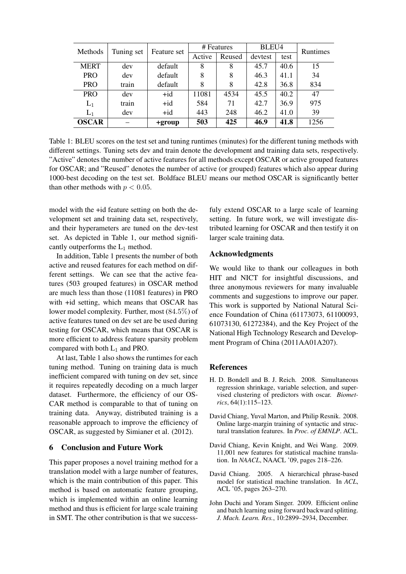| Methods      | Tuning set | Feature set    | # Features |        | BLEU4   |      | <b>Runtimes</b> |
|--------------|------------|----------------|------------|--------|---------|------|-----------------|
|              |            |                | Active     | Reused | devtest | test |                 |
| <b>MERT</b>  | dev        | default        | 8          | 8      | 45.7    | 40.6 | 15              |
| <b>PRO</b>   | dev        | default        | 8          | 8      | 46.3    | 41.1 | 34              |
| <b>PRO</b>   | train      | default        | 8          | 8      | 42.8    | 36.8 | 834             |
| <b>PRO</b>   | dev        | $+id$          | 11081      | 4534   | 45.5    | 40.2 | 47              |
| $L_1$        | train      | $+i\mathrm{d}$ | 584        | 71     | 42.7    | 36.9 | 975             |
| $L_1$        | dev        | $+i\mathrm{d}$ | 443        | 248    | 46.2    | 41.0 | 39              |
| <b>OSCAR</b> |            | +group         | 503        | 425    | 46.9    | 41.8 | 1256            |

Table 1: BLEU scores on the test set and tuning runtimes (minutes) for the different tuning methods with different settings. Tuning sets dev and train denote the development and training data sets, respectively. "Active" denotes the number of active features for all methods except OSCAR or active grouped features for OSCAR; and "Reused" denotes the number of active (or grouped) features which also appear during 1000-best decoding on the test set. Boldface BLEU means our method OSCAR is significantly better than other methods with  $p < 0.05$ .

model with the +id feature setting on both the development set and training data set, respectively, and their hyperameters are tuned on the dev-test set. As depicted in Table 1, our method significantly outperforms the  $L_1$  method.

In addition, Table 1 presents the number of both active and reused features for each method on different settings. We can see that the active features (503 grouped features) in OSCAR method are much less than those (11081 features) in PRO with +id setting, which means that OSCAR has lower model complexity. Further, most (84.5%) of active features tuned on dev set are be used during testing for OSCAR, which means that OSCAR is more efficient to address feature sparsity problem compared with both  $L_1$  and PRO.

At last, Table 1 also shows the runtimes for each tuning method. Tuning on training data is much inefficient compared with tuning on dev set, since it requires repeatedly decoding on a much larger dataset. Furthermore, the efficiency of our OS-CAR method is comparable to that of tuning on training data. Anyway, distributed training is a reasonable approach to improve the efficiency of OSCAR, as suggested by Simianer et al. (2012).

#### 6 Conclusion and Future Work

This paper proposes a novel training method for a translation model with a large number of features, which is the main contribution of this paper. This method is based on automatic feature grouping, which is implemented within an online learning method and thus is efficient for large scale training in SMT. The other contribution is that we successfuly extend OSCAR to a large scale of learning setting. In future work, we will investigate distributed learning for OSCAR and then testify it on larger scale training data.

## Acknowledgments

We would like to thank our colleagues in both HIT and NICT for insightful discussions, and three anonymous reviewers for many invaluable comments and suggestions to improve our paper. This work is supported by National Natural Science Foundation of China (61173073, 61100093, 61073130, 61272384), and the Key Project of the National High Technology Research and Development Program of China (2011AA01A207).

#### **References**

- H. D. Bondell and B. J. Reich. 2008. Simultaneous regression shrinkage, variable selection, and supervised clustering of predictors with oscar. *Biometrics*, 64(1):115–123.
- David Chiang, Yuval Marton, and Philip Resnik. 2008. Online large-margin training of syntactic and structural translation features. In *Proc. of EMNLP*. ACL.
- David Chiang, Kevin Knight, and Wei Wang. 2009. 11,001 new features for statistical machine translation. In *NAACL*, NAACL '09, pages 218–226.
- David Chiang. 2005. A hierarchical phrase-based model for statistical machine translation. In *ACL*, ACL '05, pages 263–270.
- John Duchi and Yoram Singer. 2009. Efficient online and batch learning using forward backward splitting. *J. Mach. Learn. Res.*, 10:2899–2934, December.